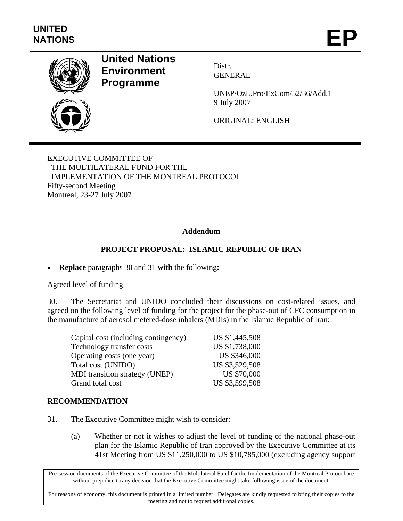

# **United Nations Environment Programme**

Distr. GENERAL

UNEP/OzL.Pro/ExCom/52/36/Add.1 9 July 2007

ORIGINAL: ENGLISH

EXECUTIVE COMMITTEE OF THE MULTILATERAL FUND FOR THE IMPLEMENTATION OF THE MONTREAL PROTOCOL Fifty-second Meeting Montreal, 23-27 July 2007

## **Addendum**

## **PROJECT PROPOSAL: ISLAMIC REPUBLIC OF IRAN**

• **Replace** paragraphs 30 and 31 **with** the following**:** 

### Agreed level of funding

30. The Secretariat and UNIDO concluded their discussions on cost-related issues, and agreed on the following level of funding for the project for the phase-out of CFC consumption in the manufacture of aerosol metered-dose inhalers (MDIs) in the Islamic Republic of Iran:

| US \$1,445,508<br>Capital cost (including contingency) |                    |
|--------------------------------------------------------|--------------------|
| Technology transfer costs                              | US \$1,738,000     |
| Operating costs (one year)                             | US \$346,000       |
| Total cost (UNIDO)                                     | US \$3,529,508     |
| <b>MDI</b> transition strategy (UNEP)                  | <b>US \$70,000</b> |
| Grand total cost                                       | US \$3,599,508     |

### **RECOMMENDATION**

- 31. The Executive Committee might wish to consider:
	- (a) Whether or not it wishes to adjust the level of funding of the national phase-out plan for the Islamic Republic of Iran approved by the Executive Committee at its 41st Meeting from US \$11,250,000 to US \$10,785,000 (excluding agency support

Pre-session documents of the Executive Committee of the Multilateral Fund for the Implementation of the Montreal Protocol are without prejudice to any decision that the Executive Committee might take following issue of the document.

For reasons of economy, this document is printed in a limited number. Delegates are kindly requested to bring their copies to the meeting and not to request additional copies.